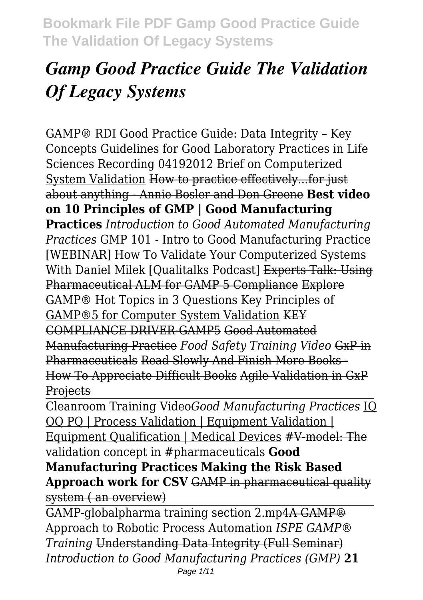# *Gamp Good Practice Guide The Validation Of Legacy Systems*

GAMP® RDI Good Practice Guide: Data Integrity – Key Concepts Guidelines for Good Laboratory Practices in Life Sciences Recording 04192012 Brief on Computerized System Validation How to practice effectively...for just about anything - Annie Bosler and Don Greene **Best video on 10 Principles of GMP | Good Manufacturing Practices** *Introduction to Good Automated Manufacturing Practices* GMP 101 - Intro to Good Manufacturing Practice [WEBINAR] How To Validate Your Computerized Systems With Daniel Milek [Qualitalks Podcast] Experts Talk: Using Pharmaceutical ALM for GAMP 5 Compliance Explore GAMP® Hot Topics in 3 Questions Key Principles of GAMP®5 for Computer System Validation KEY COMPLIANCE DRIVER-GAMP5 Good Automated Manufacturing Practice *Food Safety Training Video* GxP in Pharmaceuticals Read Slowly And Finish More Books - How To Appreciate Difficult Books Agile Validation in GxP **Projects** 

Cleanroom Training Video*Good Manufacturing Practices* IQ OQ PQ | Process Validation | Equipment Validation | Equipment Qualification | Medical Devices #V-model: The validation concept in #pharmaceuticals **Good Manufacturing Practices Making the Risk Based Approach work for CSV** GAMP in pharmaceutical quality system ( an overview)

GAMP-globalpharma training section 2.mp4A GAMP® Approach to Robotic Process Automation *ISPE GAMP® Training* Understanding Data Integrity (Full Seminar) *Introduction to Good Manufacturing Practices (GMP)* **21** Page 1/11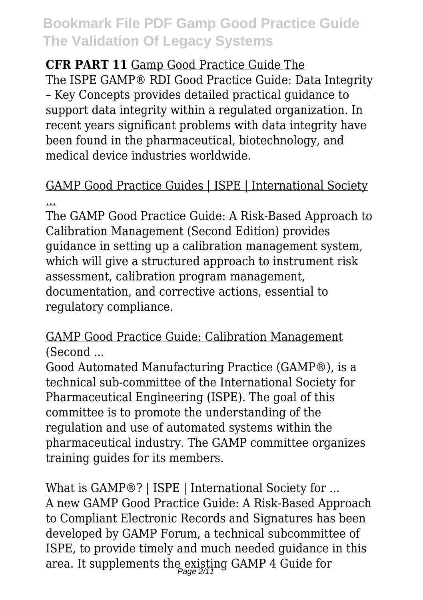#### **CFR PART 11** Gamp Good Practice Guide The

The ISPE GAMP® RDI Good Practice Guide: Data Integrity – Key Concepts provides detailed practical guidance to support data integrity within a regulated organization. In recent years significant problems with data integrity have been found in the pharmaceutical, biotechnology, and medical device industries worldwide.

### GAMP Good Practice Guides | ISPE | International Society ...

The GAMP Good Practice Guide: A Risk-Based Approach to Calibration Management (Second Edition) provides guidance in setting up a calibration management system, which will give a structured approach to instrument risk assessment, calibration program management, documentation, and corrective actions, essential to regulatory compliance.

#### GAMP Good Practice Guide: Calibration Management (Second ...

Good Automated Manufacturing Practice (GAMP®), is a technical sub-committee of the International Society for Pharmaceutical Engineering (ISPE). The goal of this committee is to promote the understanding of the regulation and use of automated systems within the pharmaceutical industry. The GAMP committee organizes training guides for its members.

What is GAMP®? | ISPE | International Society for ... A new GAMP Good Practice Guide: A Risk-Based Approach to Compliant Electronic Records and Signatures has been developed by GAMP Forum, a technical subcommittee of ISPE, to provide timely and much needed guidance in this area. It supplements the existing GAMP 4 Guide for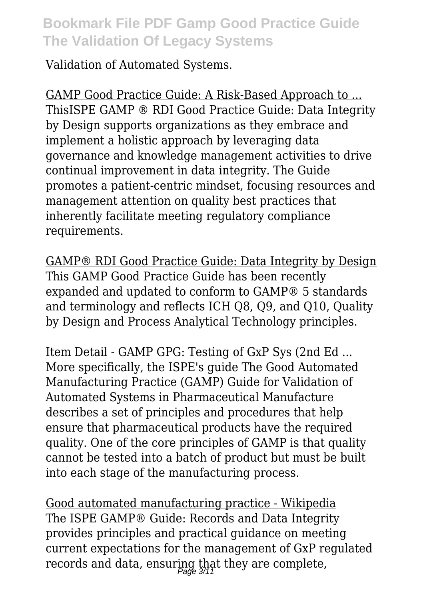Validation of Automated Systems.

GAMP Good Practice Guide: A Risk-Based Approach to ... ThisISPE GAMP ® RDI Good Practice Guide: Data Integrity by Design supports organizations as they embrace and implement a holistic approach by leveraging data governance and knowledge management activities to drive continual improvement in data integrity. The Guide promotes a patient-centric mindset, focusing resources and management attention on quality best practices that inherently facilitate meeting regulatory compliance requirements.

GAMP® RDI Good Practice Guide: Data Integrity by Design This GAMP Good Practice Guide has been recently expanded and updated to conform to GAMP® 5 standards and terminology and reflects ICH Q8, Q9, and Q10, Quality by Design and Process Analytical Technology principles.

Item Detail - GAMP GPG: Testing of GxP Sys (2nd Ed ... More specifically, the ISPE's guide The Good Automated Manufacturing Practice (GAMP) Guide for Validation of Automated Systems in Pharmaceutical Manufacture describes a set of principles and procedures that help ensure that pharmaceutical products have the required quality. One of the core principles of GAMP is that quality cannot be tested into a batch of product but must be built into each stage of the manufacturing process.

Good automated manufacturing practice - Wikipedia The ISPE GAMP® Guide: Records and Data Integrity provides principles and practical guidance on meeting current expectations for the management of GxP regulated records and data, ensuring that they are complete,<br>regards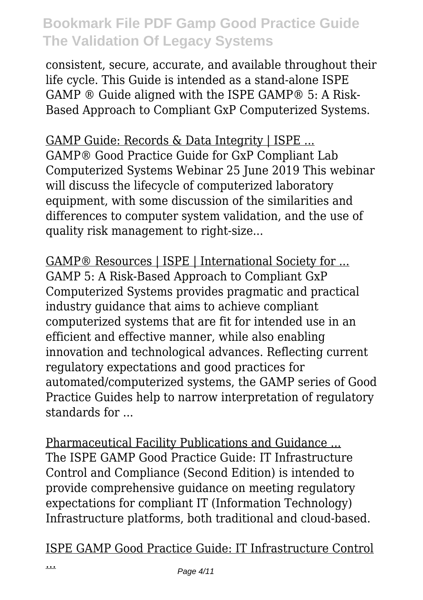consistent, secure, accurate, and available throughout their life cycle. This Guide is intended as a stand-alone ISPE GAMP ® Guide aligned with the ISPE GAMP® 5: A Risk-Based Approach to Compliant GxP Computerized Systems.

GAMP Guide: Records & Data Integrity | ISPE ... GAMP® Good Practice Guide for GxP Compliant Lab Computerized Systems Webinar 25 June 2019 This webinar will discuss the lifecycle of computerized laboratory equipment, with some discussion of the similarities and differences to computer system validation, and the use of quality risk management to right-size...

GAMP® Resources | ISPE | International Society for ... GAMP 5: A Risk-Based Approach to Compliant GxP Computerized Systems provides pragmatic and practical industry guidance that aims to achieve compliant computerized systems that are fit for intended use in an efficient and effective manner, while also enabling innovation and technological advances. Reflecting current regulatory expectations and good practices for automated/computerized systems, the GAMP series of Good Practice Guides help to narrow interpretation of regulatory standards for ...

Pharmaceutical Facility Publications and Guidance ... The ISPE GAMP Good Practice Guide: IT Infrastructure Control and Compliance (Second Edition) is intended to provide comprehensive guidance on meeting regulatory expectations for compliant IT (Information Technology) Infrastructure platforms, both traditional and cloud-based.

ISPE GAMP Good Practice Guide: IT Infrastructure Control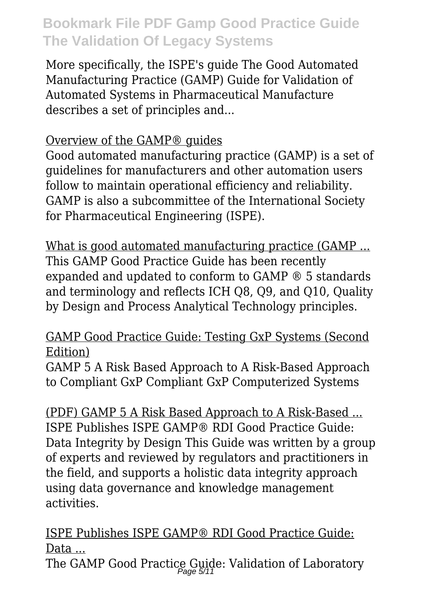More specifically, the ISPE's guide The Good Automated Manufacturing Practice (GAMP) Guide for Validation of Automated Systems in Pharmaceutical Manufacture describes a set of principles and...

#### Overview of the GAMP® guides

Good automated manufacturing practice (GAMP) is a set of guidelines for manufacturers and other automation users follow to maintain operational efficiency and reliability. GAMP is also a subcommittee of the International Society for Pharmaceutical Engineering (ISPE).

What is good automated manufacturing practice (GAMP ... This GAMP Good Practice Guide has been recently expanded and updated to conform to GAMP ® 5 standards and terminology and reflects ICH Q8, Q9, and Q10, Quality by Design and Process Analytical Technology principles.

#### GAMP Good Practice Guide: Testing GxP Systems (Second Edition)

GAMP 5 A Risk Based Approach to A Risk-Based Approach to Compliant GxP Compliant GxP Computerized Systems

(PDF) GAMP 5 A Risk Based Approach to A Risk-Based ... ISPE Publishes ISPE GAMP® RDI Good Practice Guide: Data Integrity by Design This Guide was written by a group of experts and reviewed by regulators and practitioners in the field, and supports a holistic data integrity approach using data governance and knowledge management activities.

ISPE Publishes ISPE GAMP® RDI Good Practice Guide: Data ...

The GAMP Good Practice Guide: Validation of Laboratory<br>Page 5/11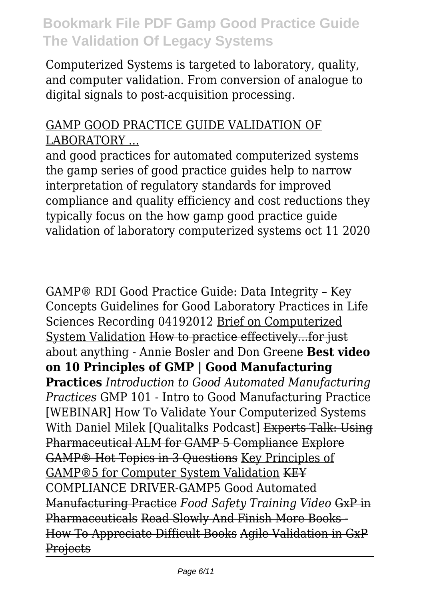Computerized Systems is targeted to laboratory, quality, and computer validation. From conversion of analogue to digital signals to post-acquisition processing.

#### GAMP GOOD PRACTICE GUIDE VALIDATION OF LABORATORY ...

and good practices for automated computerized systems the gamp series of good practice guides help to narrow interpretation of regulatory standards for improved compliance and quality efficiency and cost reductions they typically focus on the how gamp good practice guide validation of laboratory computerized systems oct 11 2020

GAMP® RDI Good Practice Guide: Data Integrity – Key Concepts Guidelines for Good Laboratory Practices in Life Sciences Recording 04192012 Brief on Computerized System Validation How to practice effectively...for just about anything - Annie Bosler and Don Greene **Best video on 10 Principles of GMP | Good Manufacturing Practices** *Introduction to Good Automated Manufacturing Practices* GMP 101 - Intro to Good Manufacturing Practice [WEBINAR] How To Validate Your Computerized Systems With Daniel Milek [Qualitalks Podcast] Experts Talk: Using Pharmaceutical ALM for GAMP 5 Compliance Explore GAMP® Hot Topics in 3 Questions Key Principles of GAMP®5 for Computer System Validation KEY COMPLIANCE DRIVER-GAMP5 Good Automated Manufacturing Practice *Food Safety Training Video* GxP in Pharmaceuticals Read Slowly And Finish More Books - How To Appreciate Difficult Books Agile Validation in GxP **Projects**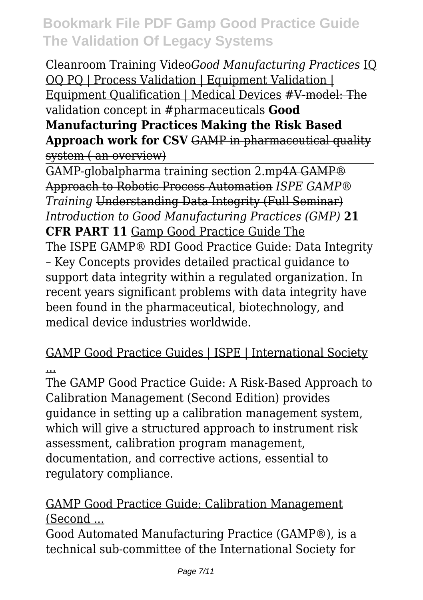Cleanroom Training Video*Good Manufacturing Practices* IQ OQ PQ | Process Validation | Equipment Validation | Equipment Qualification | Medical Devices #V-model: The validation concept in #pharmaceuticals **Good**

**Manufacturing Practices Making the Risk Based Approach work for CSV** GAMP in pharmaceutical quality system ( an overview)

GAMP-globalpharma training section 2.mp4A GAMP® Approach to Robotic Process Automation *ISPE GAMP® Training* Understanding Data Integrity (Full Seminar) *Introduction to Good Manufacturing Practices (GMP)* **21 CFR PART 11** Gamp Good Practice Guide The The ISPE GAMP® RDI Good Practice Guide: Data Integrity – Key Concepts provides detailed practical guidance to support data integrity within a regulated organization. In recent years significant problems with data integrity have been found in the pharmaceutical, biotechnology, and medical device industries worldwide.

### GAMP Good Practice Guides | ISPE | International Society ...

The GAMP Good Practice Guide: A Risk-Based Approach to Calibration Management (Second Edition) provides guidance in setting up a calibration management system, which will give a structured approach to instrument risk assessment, calibration program management, documentation, and corrective actions, essential to regulatory compliance.

### GAMP Good Practice Guide: Calibration Management (Second ...

Good Automated Manufacturing Practice (GAMP®), is a technical sub-committee of the International Society for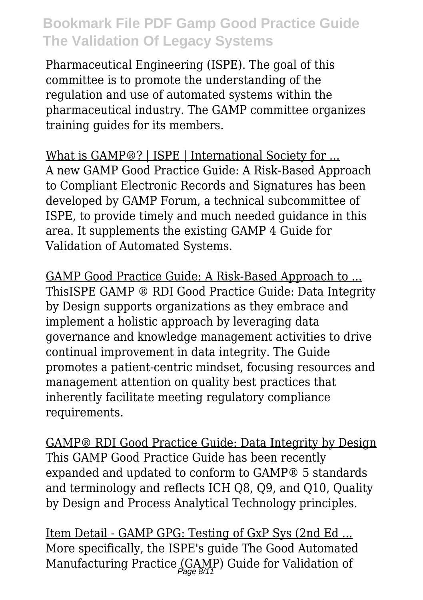Pharmaceutical Engineering (ISPE). The goal of this committee is to promote the understanding of the regulation and use of automated systems within the pharmaceutical industry. The GAMP committee organizes training guides for its members.

What is GAMP®? | ISPE | International Society for ... A new GAMP Good Practice Guide: A Risk-Based Approach to Compliant Electronic Records and Signatures has been developed by GAMP Forum, a technical subcommittee of ISPE, to provide timely and much needed guidance in this area. It supplements the existing GAMP 4 Guide for Validation of Automated Systems.

GAMP Good Practice Guide: A Risk-Based Approach to ... ThisISPE GAMP ® RDI Good Practice Guide: Data Integrity by Design supports organizations as they embrace and implement a holistic approach by leveraging data governance and knowledge management activities to drive continual improvement in data integrity. The Guide promotes a patient-centric mindset, focusing resources and management attention on quality best practices that inherently facilitate meeting regulatory compliance requirements.

GAMP® RDI Good Practice Guide: Data Integrity by Design This GAMP Good Practice Guide has been recently expanded and updated to conform to GAMP® 5 standards and terminology and reflects ICH Q8, Q9, and Q10, Quality by Design and Process Analytical Technology principles.

Item Detail - GAMP GPG: Testing of GxP Sys (2nd Ed ... More specifically, the ISPE's guide The Good Automated Manufacturing Practice (GAMP) Guide for Validation of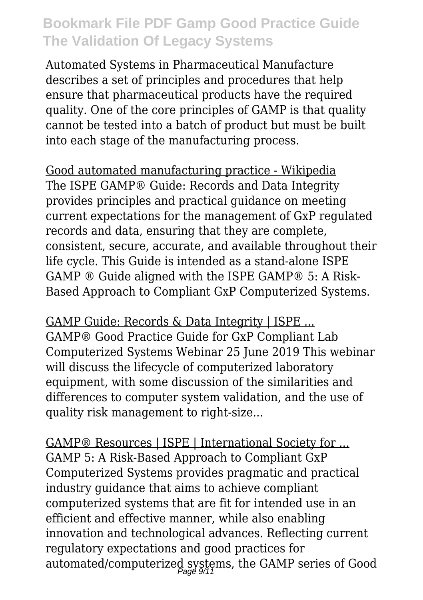Automated Systems in Pharmaceutical Manufacture describes a set of principles and procedures that help ensure that pharmaceutical products have the required quality. One of the core principles of GAMP is that quality cannot be tested into a batch of product but must be built into each stage of the manufacturing process.

Good automated manufacturing practice - Wikipedia The ISPE GAMP® Guide: Records and Data Integrity provides principles and practical guidance on meeting current expectations for the management of GxP regulated records and data, ensuring that they are complete, consistent, secure, accurate, and available throughout their life cycle. This Guide is intended as a stand-alone ISPE GAMP ® Guide aligned with the ISPE GAMP® 5: A Risk-Based Approach to Compliant GxP Computerized Systems.

GAMP Guide: Records & Data Integrity | ISPE ... GAMP® Good Practice Guide for GxP Compliant Lab Computerized Systems Webinar 25 June 2019 This webinar will discuss the lifecycle of computerized laboratory equipment, with some discussion of the similarities and differences to computer system validation, and the use of quality risk management to right-size...

GAMP® Resources | ISPE | International Society for ... GAMP 5: A Risk-Based Approach to Compliant GxP Computerized Systems provides pragmatic and practical industry guidance that aims to achieve compliant computerized systems that are fit for intended use in an efficient and effective manner, while also enabling innovation and technological advances. Reflecting current regulatory expectations and good practices for automated/computerized systems, the GAMP series of Good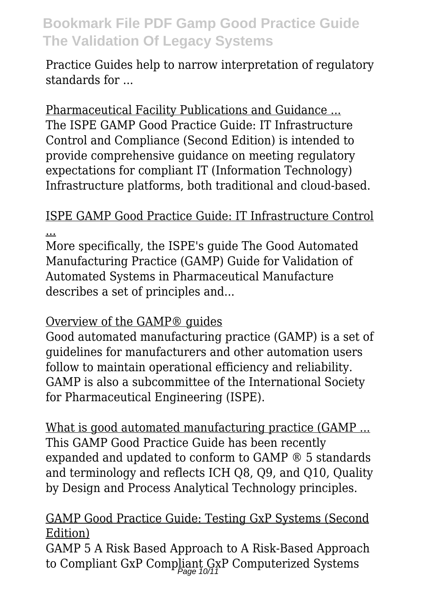Practice Guides help to narrow interpretation of regulatory standards for ...

Pharmaceutical Facility Publications and Guidance ... The ISPE GAMP Good Practice Guide: IT Infrastructure Control and Compliance (Second Edition) is intended to provide comprehensive guidance on meeting regulatory expectations for compliant IT (Information Technology) Infrastructure platforms, both traditional and cloud-based.

### ISPE GAMP Good Practice Guide: IT Infrastructure Control ...

More specifically, the ISPE's guide The Good Automated Manufacturing Practice (GAMP) Guide for Validation of Automated Systems in Pharmaceutical Manufacture describes a set of principles and...

### Overview of the GAMP® guides

Good automated manufacturing practice (GAMP) is a set of guidelines for manufacturers and other automation users follow to maintain operational efficiency and reliability. GAMP is also a subcommittee of the International Society for Pharmaceutical Engineering (ISPE).

What is good automated manufacturing practice (GAMP ... This GAMP Good Practice Guide has been recently expanded and updated to conform to GAMP ® 5 standards and terminology and reflects ICH Q8, Q9, and Q10, Quality by Design and Process Analytical Technology principles.

#### GAMP Good Practice Guide: Testing GxP Systems (Second Edition)

GAMP 5 A Risk Based Approach to A Risk-Based Approach to Compliant GxP Compliant GxP Computerized Systems